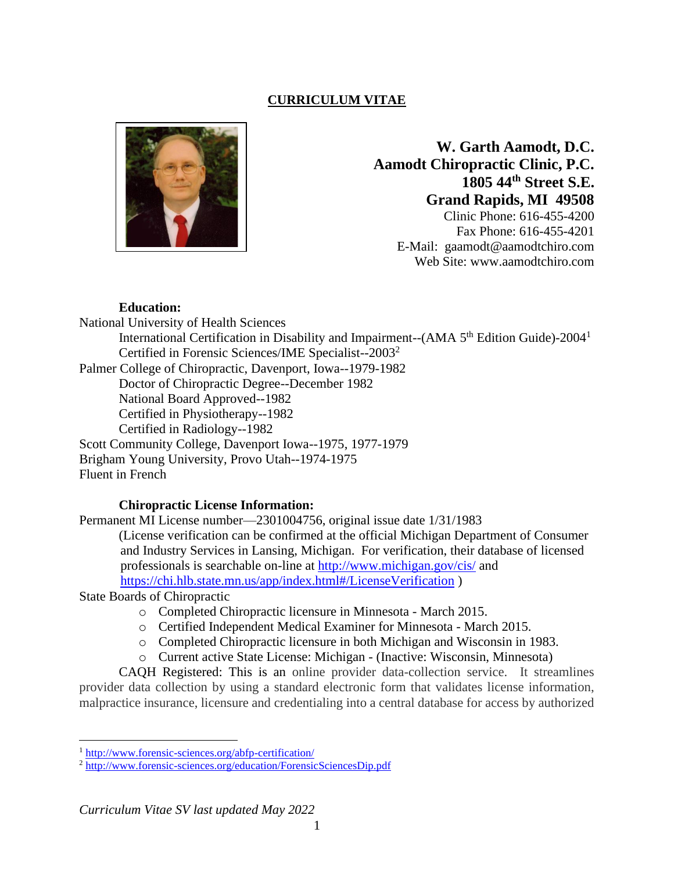## **CURRICULUM VITAE**



**W. Garth Aamodt, D.C. Aamodt Chiropractic Clinic, P.C. 1805 44th Street S.E. Grand Rapids, MI 49508** Clinic Phone: 616-455-4200 Fax Phone: 616-455-4201 E-Mail: gaamodt@aamodtchiro.com Web Site: www.aamodtchiro.com

#### **Education:**

National University of Health Sciences International Certification in Disability and Impairment--(AMA  $5<sup>th</sup>$  Edition Guide)-2004<sup>1</sup> Certified in Forensic Sciences/IME Specialist--2003<sup>2</sup> Palmer College of Chiropractic, Davenport, Iowa--1979-1982 Doctor of Chiropractic Degree--December 1982 National Board Approved--1982 Certified in Physiotherapy--1982 Certified in Radiology--1982 Scott Community College, Davenport Iowa--1975, 1977-1979 Brigham Young University, Provo Utah--1974-1975 Fluent in French

#### **Chiropractic License Information:**

Permanent MI License number—2301004756, original issue date 1/31/1983 (License verification can be confirmed at the official Michigan Department of Consumer and Industry Services in Lansing, Michigan. For verification, their database of licensed professionals is searchable on-line at<http://www.michigan.gov/cis/> and <https://chi.hlb.state.mn.us/app/index.html#/LicenseVerification> )

State Boards of Chiropractic

- o Completed Chiropractic licensure in Minnesota March 2015.
- o Certified Independent Medical Examiner for Minnesota March 2015.
- o Completed Chiropractic licensure in both Michigan and Wisconsin in 1983.
- o Current active State License: Michigan (Inactive: Wisconsin, Minnesota)

CAQH Registered: This is an online provider data-collection service. It streamlines provider data collection by using a standard electronic form that validates license information, malpractice insurance, licensure and credentialing into a central database for access by authorized

<sup>1</sup> <http://www.forensic-sciences.org/abfp-certification/>

<sup>2</sup> <http://www.forensic-sciences.org/education/ForensicSciencesDip.pdf>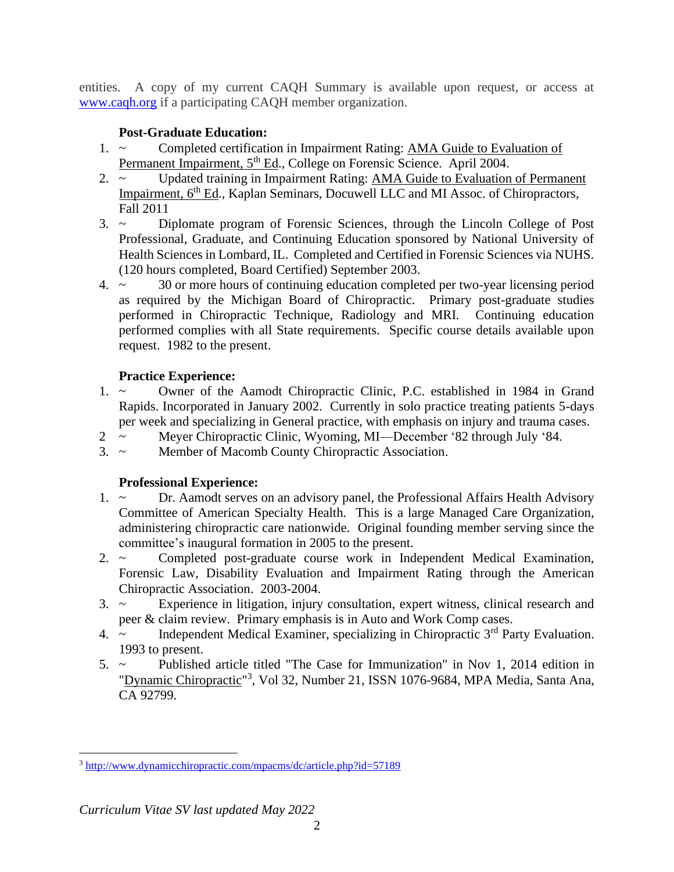entities. A copy of my current CAQH Summary is available upon request, or access at [www.caqh.org](http://www.caqh.org/) if a participating CAQH member organization.

# **Post-Graduate Education:**

- 1. ~ Completed certification in Impairment Rating: AMA Guide to Evaluation of Permanent Impairment, 5<sup>th</sup> Ed., College on Forensic Science. April 2004.
- 2. ~ Updated training in Impairment Rating: AMA Guide to Evaluation of Permanent Impairment, 6<sup>th</sup> Ed., Kaplan Seminars, Docuwell LLC and MI Assoc. of Chiropractors, Fall 2011
- 3. ~ Diplomate program of Forensic Sciences, through the Lincoln College of Post Professional, Graduate, and Continuing Education sponsored by National University of Health Sciences in Lombard, IL. Completed and Certified in Forensic Sciences via NUHS. (120 hours completed, Board Certified) September 2003.
- 4. ~ 30 or more hours of continuing education completed per two-year licensing period as required by the Michigan Board of Chiropractic. Primary post-graduate studies performed in Chiropractic Technique, Radiology and MRI. Continuing education performed complies with all State requirements. Specific course details available upon request. 1982 to the present.

## **Practice Experience:**

- 1. ~ Owner of the Aamodt Chiropractic Clinic, P.C. established in 1984 in Grand Rapids. Incorporated in January 2002. Currently in solo practice treating patients 5-days per week and specializing in General practice, with emphasis on injury and trauma cases.
- 2 ~ Meyer Chiropractic Clinic, Wyoming, MI—December '82 through July '84.
- 3. ~ Member of Macomb County Chiropractic Association.

#### **Professional Experience:**

- 1. ~ Dr. Aamodt serves on an advisory panel, the Professional Affairs Health Advisory Committee of American Specialty Health. This is a large Managed Care Organization, administering chiropractic care nationwide. Original founding member serving since the committee's inaugural formation in 2005 to the present.<br>2.  $\sim$  Completed post-graduate course work in Ind
- Completed post-graduate course work in Independent Medical Examination, Forensic Law, Disability Evaluation and Impairment Rating through the American Chiropractic Association. 2003-2004.
- 3. ~ Experience in litigation, injury consultation, expert witness, clinical research and peer & claim review. Primary emphasis is in Auto and Work Comp cases.
- 4.  $\sim$  Independent Medical Examiner, specializing in Chiropractic  $3<sup>rd</sup>$  Party Evaluation. 1993 to present.
- 5. ~ Published article titled "The Case for Immunization" in Nov 1, 2014 edition in "Dynamic Chiropractic"<sup>3</sup>, Vol 32, Number 21, ISSN 1076-9684, MPA Media, Santa Ana, CA 92799.

<sup>3</sup> <http://www.dynamicchiropractic.com/mpacms/dc/article.php?id=57189>